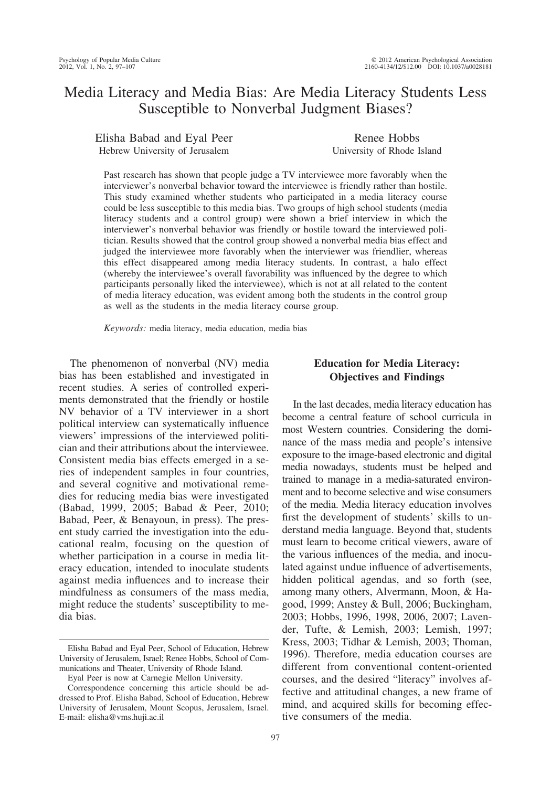# Media Literacy and Media Bias: Are Media Literacy Students Less Susceptible to Nonverbal Judgment Biases?

| Elisha Babad and Eyal Peer     |  |  |
|--------------------------------|--|--|
| Hebrew University of Jerusalem |  |  |

Renee Hobbs University of Rhode Island

Past research has shown that people judge a TV interviewee more favorably when the interviewer's nonverbal behavior toward the interviewee is friendly rather than hostile. This study examined whether students who participated in a media literacy course could be less susceptible to this media bias. Two groups of high school students (media literacy students and a control group) were shown a brief interview in which the interviewer's nonverbal behavior was friendly or hostile toward the interviewed politician. Results showed that the control group showed a nonverbal media bias effect and judged the interviewee more favorably when the interviewer was friendlier, whereas this effect disappeared among media literacy students. In contrast, a halo effect (whereby the interviewee's overall favorability was influenced by the degree to which participants personally liked the interviewee), which is not at all related to the content of media literacy education, was evident among both the students in the control group as well as the students in the media literacy course group.

*Keywords:* media literacy, media education, media bias

The phenomenon of nonverbal (NV) media bias has been established and investigated in recent studies. A series of controlled experiments demonstrated that the friendly or hostile NV behavior of a TV interviewer in a short political interview can systematically influence viewers' impressions of the interviewed politician and their attributions about the interviewee. Consistent media bias effects emerged in a series of independent samples in four countries, and several cognitive and motivational remedies for reducing media bias were investigated (Babad, 1999, 2005; Babad & Peer, 2010; Babad, Peer, & Benayoun, in press). The present study carried the investigation into the educational realm, focusing on the question of whether participation in a course in media literacy education, intended to inoculate students against media influences and to increase their mindfulness as consumers of the mass media, might reduce the students' susceptibility to media bias.

Eyal Peer is now at Carnegie Mellon University.

# **Education for Media Literacy: Objectives and Findings**

In the last decades, media literacy education has become a central feature of school curricula in most Western countries. Considering the dominance of the mass media and people's intensive exposure to the image-based electronic and digital media nowadays, students must be helped and trained to manage in a media-saturated environment and to become selective and wise consumers of the media. Media literacy education involves first the development of students' skills to understand media language. Beyond that, students must learn to become critical viewers, aware of the various influences of the media, and inoculated against undue influence of advertisements, hidden political agendas, and so forth (see, among many others, Alvermann, Moon, & Hagood, 1999; Anstey & Bull, 2006; Buckingham, 2003; Hobbs, 1996, 1998, 2006, 2007; Lavender, Tufte, & Lemish, 2003; Lemish, 1997; Kress, 2003; Tidhar & Lemish, 2003; Thoman, 1996). Therefore, media education courses are different from conventional content-oriented courses, and the desired "literacy" involves affective and attitudinal changes, a new frame of mind, and acquired skills for becoming effective consumers of the media.

Elisha Babad and Eyal Peer, School of Education, Hebrew University of Jerusalem, Israel; Renee Hobbs, School of Communications and Theater, University of Rhode Island.

Correspondence concerning this article should be addressed to Prof. Elisha Babad, School of Education, Hebrew University of Jerusalem, Mount Scopus, Jerusalem, Israel. E-mail: elisha@vms.huji.ac.il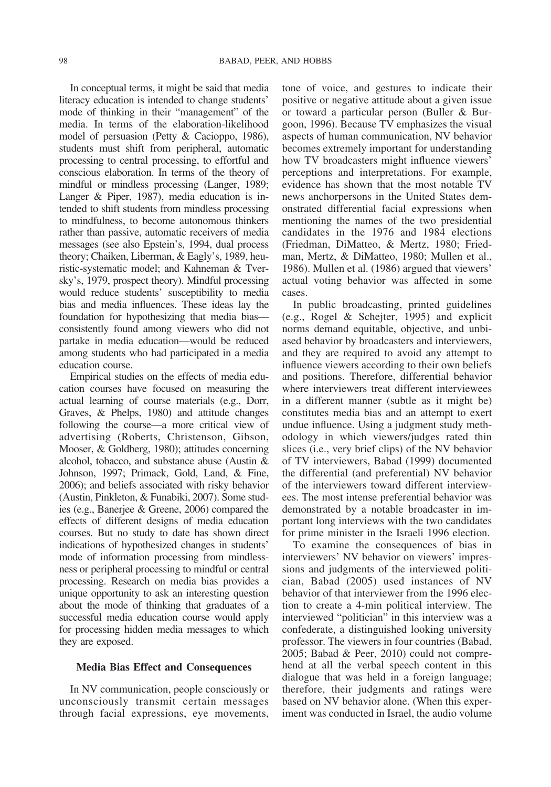In conceptual terms, it might be said that media literacy education is intended to change students' mode of thinking in their "management" of the media. In terms of the elaboration-likelihood model of persuasion (Petty & Cacioppo, 1986), students must shift from peripheral, automatic processing to central processing, to effortful and conscious elaboration. In terms of the theory of mindful or mindless processing (Langer, 1989; Langer & Piper, 1987), media education is intended to shift students from mindless processing to mindfulness, to become autonomous thinkers rather than passive, automatic receivers of media messages (see also Epstein's, 1994, dual process theory; Chaiken, Liberman, & Eagly's, 1989, heuristic-systematic model; and Kahneman & Tversky's, 1979, prospect theory). Mindful processing would reduce students' susceptibility to media bias and media influences. These ideas lay the foundation for hypothesizing that media bias consistently found among viewers who did not partake in media education—would be reduced among students who had participated in a media education course.

Empirical studies on the effects of media education courses have focused on measuring the actual learning of course materials (e.g., Dorr, Graves, & Phelps, 1980) and attitude changes following the course—a more critical view of advertising (Roberts, Christenson, Gibson, Mooser, & Goldberg, 1980); attitudes concerning alcohol, tobacco, and substance abuse (Austin & Johnson, 1997; Primack, Gold, Land, & Fine, 2006); and beliefs associated with risky behavior (Austin, Pinkleton, & Funabiki, 2007). Some studies (e.g., Banerjee & Greene, 2006) compared the effects of different designs of media education courses. But no study to date has shown direct indications of hypothesized changes in students' mode of information processing from mindlessness or peripheral processing to mindful or central processing. Research on media bias provides a unique opportunity to ask an interesting question about the mode of thinking that graduates of a successful media education course would apply for processing hidden media messages to which they are exposed.

#### **Media Bias Effect and Consequences**

In NV communication, people consciously or unconsciously transmit certain messages through facial expressions, eye movements,

tone of voice, and gestures to indicate their positive or negative attitude about a given issue or toward a particular person (Buller & Burgoon, 1996). Because TV emphasizes the visual aspects of human communication, NV behavior becomes extremely important for understanding how TV broadcasters might influence viewers' perceptions and interpretations. For example, evidence has shown that the most notable TV news anchorpersons in the United States demonstrated differential facial expressions when mentioning the names of the two presidential candidates in the 1976 and 1984 elections (Friedman, DiMatteo, & Mertz, 1980; Friedman, Mertz, & DiMatteo, 1980; Mullen et al., 1986). Mullen et al. (1986) argued that viewers' actual voting behavior was affected in some cases.

In public broadcasting, printed guidelines (e.g., Rogel & Schejter, 1995) and explicit norms demand equitable, objective, and unbiased behavior by broadcasters and interviewers, and they are required to avoid any attempt to influence viewers according to their own beliefs and positions. Therefore, differential behavior where interviewers treat different interviewees in a different manner (subtle as it might be) constitutes media bias and an attempt to exert undue influence. Using a judgment study methodology in which viewers/judges rated thin slices (i.e., very brief clips) of the NV behavior of TV interviewers, Babad (1999) documented the differential (and preferential) NV behavior of the interviewers toward different interviewees. The most intense preferential behavior was demonstrated by a notable broadcaster in important long interviews with the two candidates for prime minister in the Israeli 1996 election.

To examine the consequences of bias in interviewers' NV behavior on viewers' impressions and judgments of the interviewed politician, Babad (2005) used instances of NV behavior of that interviewer from the 1996 election to create a 4-min political interview. The interviewed "politician" in this interview was a confederate, a distinguished looking university professor. The viewers in four countries (Babad, 2005; Babad & Peer, 2010) could not comprehend at all the verbal speech content in this dialogue that was held in a foreign language; therefore, their judgments and ratings were based on NV behavior alone. (When this experiment was conducted in Israel, the audio volume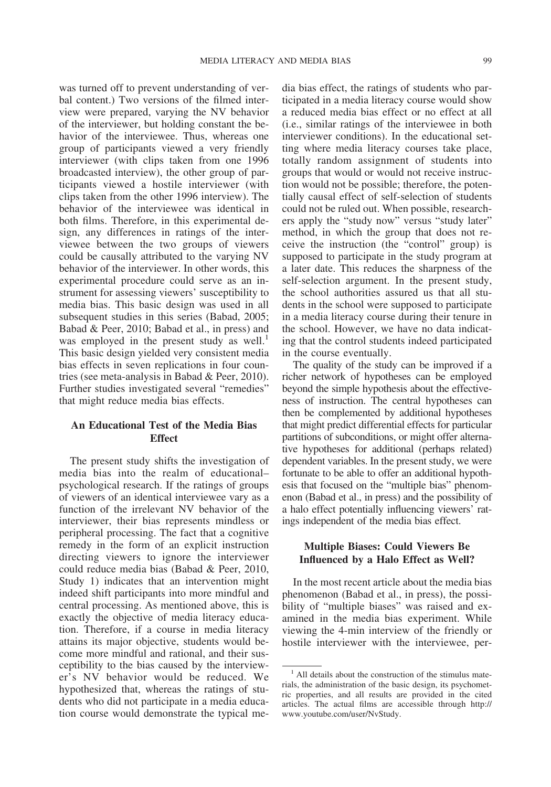was turned off to prevent understanding of verbal content.) Two versions of the filmed interview were prepared, varying the NV behavior of the interviewer, but holding constant the behavior of the interviewee. Thus, whereas one group of participants viewed a very friendly interviewer (with clips taken from one 1996 broadcasted interview), the other group of participants viewed a hostile interviewer (with clips taken from the other 1996 interview). The behavior of the interviewee was identical in both films. Therefore, in this experimental design, any differences in ratings of the interviewee between the two groups of viewers could be causally attributed to the varying NV behavior of the interviewer. In other words, this experimental procedure could serve as an instrument for assessing viewers' susceptibility to media bias. This basic design was used in all subsequent studies in this series (Babad, 2005; Babad & Peer, 2010; Babad et al., in press) and was employed in the present study as well. $<sup>1</sup>$ </sup> This basic design yielded very consistent media bias effects in seven replications in four countries (see meta-analysis in Babad & Peer, 2010). Further studies investigated several "remedies" that might reduce media bias effects.

# **An Educational Test of the Media Bias Effect**

The present study shifts the investigation of media bias into the realm of educational– psychological research. If the ratings of groups of viewers of an identical interviewee vary as a function of the irrelevant NV behavior of the interviewer, their bias represents mindless or peripheral processing. The fact that a cognitive remedy in the form of an explicit instruction directing viewers to ignore the interviewer could reduce media bias (Babad & Peer, 2010, Study 1) indicates that an intervention might indeed shift participants into more mindful and central processing. As mentioned above, this is exactly the objective of media literacy education. Therefore, if a course in media literacy attains its major objective, students would become more mindful and rational, and their susceptibility to the bias caused by the interviewer's NV behavior would be reduced. We hypothesized that, whereas the ratings of students who did not participate in a media education course would demonstrate the typical media bias effect, the ratings of students who participated in a media literacy course would show a reduced media bias effect or no effect at all (i.e., similar ratings of the interviewee in both interviewer conditions). In the educational setting where media literacy courses take place, totally random assignment of students into groups that would or would not receive instruction would not be possible; therefore, the potentially causal effect of self-selection of students could not be ruled out. When possible, researchers apply the "study now" versus "study later" method, in which the group that does not receive the instruction (the "control" group) is supposed to participate in the study program at a later date. This reduces the sharpness of the self-selection argument. In the present study, the school authorities assured us that all students in the school were supposed to participate in a media literacy course during their tenure in the school. However, we have no data indicating that the control students indeed participated in the course eventually.

The quality of the study can be improved if a richer network of hypotheses can be employed beyond the simple hypothesis about the effectiveness of instruction. The central hypotheses can then be complemented by additional hypotheses that might predict differential effects for particular partitions of subconditions, or might offer alternative hypotheses for additional (perhaps related) dependent variables. In the present study, we were fortunate to be able to offer an additional hypothesis that focused on the "multiple bias" phenomenon (Babad et al., in press) and the possibility of a halo effect potentially influencing viewers' ratings independent of the media bias effect.

# **Multiple Biases: Could Viewers Be Influenced by a Halo Effect as Well?**

In the most recent article about the media bias phenomenon (Babad et al., in press), the possibility of "multiple biases" was raised and examined in the media bias experiment. While viewing the 4-min interview of the friendly or hostile interviewer with the interviewee, per-

<sup>&</sup>lt;sup>1</sup> All details about the construction of the stimulus materials, the administration of the basic design, its psychometric properties, and all results are provided in the cited articles. The actual films are accessible through http:// www.youtube.com/user/NvStudy.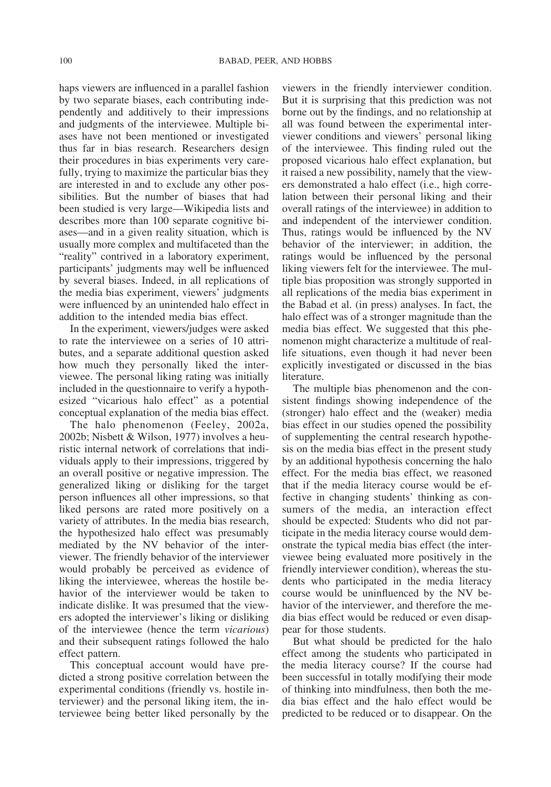haps viewers are influenced in a parallel fashion by two separate biases, each contributing independently and additively to their impressions and judgments of the interviewee. Multiple biases have not been mentioned or investigated thus far in bias research. Researchers design their procedures in bias experiments very carefully, trying to maximize the particular bias they are interested in and to exclude any other possibilities. But the number of biases that had been studied is very large—Wikipedia lists and describes more than 100 separate cognitive biases—and in a given reality situation, which is usually more complex and multifaceted than the "reality" contrived in a laboratory experiment, participants' judgments may well be influenced by several biases. Indeed, in all replications of the media bias experiment, viewers' judgments were influenced by an unintended halo effect in addition to the intended media bias effect.

In the experiment, viewers/judges were asked to rate the interviewee on a series of 10 attributes, and a separate additional question asked how much they personally liked the interviewee. The personal liking rating was initially included in the questionnaire to verify a hypothesized "vicarious halo effect" as a potential conceptual explanation of the media bias effect.

The halo phenomenon (Feeley, 2002a, 2002b; Nisbett & Wilson, 1977) involves a heuristic internal network of correlations that individuals apply to their impressions, triggered by an overall positive or negative impression. The generalized liking or disliking for the target person influences all other impressions, so that liked persons are rated more positively on a variety of attributes. In the media bias research, the hypothesized halo effect was presumably mediated by the NV behavior of the interviewer. The friendly behavior of the interviewer would probably be perceived as evidence of liking the interviewee, whereas the hostile behavior of the interviewer would be taken to indicate dislike. It was presumed that the viewers adopted the interviewer's liking or disliking of the interviewee (hence the term *vicarious*) and their subsequent ratings followed the halo effect pattern.

This conceptual account would have predicted a strong positive correlation between the experimental conditions (friendly vs. hostile interviewer) and the personal liking item, the interviewee being better liked personally by the

viewers in the friendly interviewer condition. But it is surprising that this prediction was not borne out by the findings, and no relationship at all was found between the experimental interviewer conditions and viewers' personal liking of the interviewee. This finding ruled out the proposed vicarious halo effect explanation, but it raised a new possibility, namely that the viewers demonstrated a halo effect (i.e., high correlation between their personal liking and their overall ratings of the interviewee) in addition to and independent of the interviewer condition. Thus, ratings would be influenced by the NV behavior of the interviewer; in addition, the ratings would be influenced by the personal liking viewers felt for the interviewee. The multiple bias proposition was strongly supported in all replications of the media bias experiment in the Babad et al. (in press) analyses. In fact, the halo effect was of a stronger magnitude than the media bias effect. We suggested that this phenomenon might characterize a multitude of reallife situations, even though it had never been explicitly investigated or discussed in the bias literature.

The multiple bias phenomenon and the consistent findings showing independence of the (stronger) halo effect and the (weaker) media bias effect in our studies opened the possibility of supplementing the central research hypothesis on the media bias effect in the present study by an additional hypothesis concerning the halo effect. For the media bias effect, we reasoned that if the media literacy course would be effective in changing students' thinking as consumers of the media, an interaction effect should be expected: Students who did not participate in the media literacy course would demonstrate the typical media bias effect (the interviewee being evaluated more positively in the friendly interviewer condition), whereas the students who participated in the media literacy course would be uninfluenced by the NV behavior of the interviewer, and therefore the media bias effect would be reduced or even disappear for those students.

But what should be predicted for the halo effect among the students who participated in the media literacy course? If the course had been successful in totally modifying their mode of thinking into mindfulness, then both the media bias effect and the halo effect would be predicted to be reduced or to disappear. On the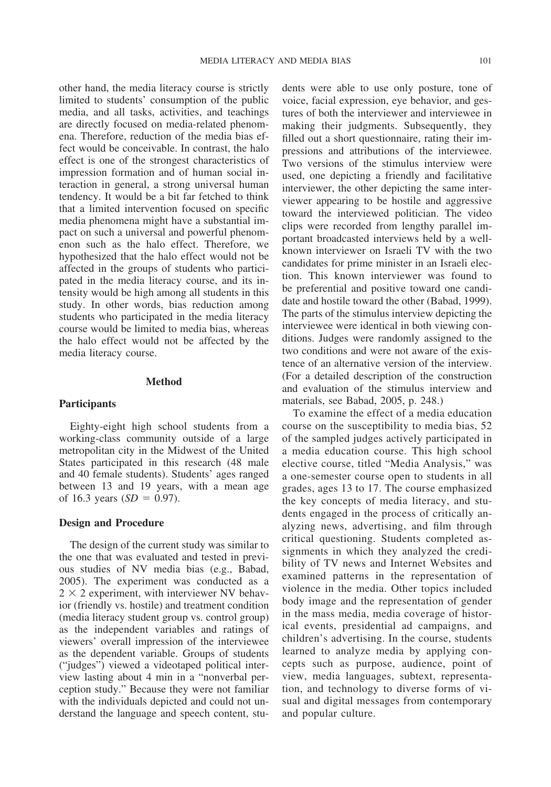other hand, the media literacy course is strictly limited to students' consumption of the public media, and all tasks, activities, and teachings are directly focused on media-related phenomena. Therefore, reduction of the media bias effect would be conceivable. In contrast, the halo effect is one of the strongest characteristics of impression formation and of human social interaction in general, a strong universal human tendency. It would be a bit far fetched to think that a limited intervention focused on specific media phenomena might have a substantial impact on such a universal and powerful phenomenon such as the halo effect. Therefore, we hypothesized that the halo effect would not be affected in the groups of students who participated in the media literacy course, and its intensity would be high among all students in this study. In other words, bias reduction among students who participated in the media literacy course would be limited to media bias, whereas the halo effect would not be affected by the media literacy course.

## **Method**

#### **Participants**

Eighty-eight high school students from a working-class community outside of a large metropolitan city in the Midwest of the United States participated in this research (48 male and 40 female students). Students' ages ranged between 13 and 19 years, with a mean age of 16.3 years  $(SD = 0.97)$ .

# **Design and Procedure**

The design of the current study was similar to the one that was evaluated and tested in previous studies of NV media bias (e.g., Babad, 2005). The experiment was conducted as a  $2 \times 2$  experiment, with interviewer NV behavior (friendly vs. hostile) and treatment condition (media literacy student group vs. control group) as the independent variables and ratings of viewers' overall impression of the interviewee as the dependent variable. Groups of students ("judges") viewed a videotaped political interview lasting about 4 min in a "nonverbal perception study." Because they were not familiar with the individuals depicted and could not understand the language and speech content, stu-

dents were able to use only posture, tone of voice, facial expression, eye behavior, and gestures of both the interviewer and interviewee in making their judgments. Subsequently, they filled out a short questionnaire, rating their impressions and attributions of the interviewee. Two versions of the stimulus interview were used, one depicting a friendly and facilitative interviewer, the other depicting the same interviewer appearing to be hostile and aggressive toward the interviewed politician. The video clips were recorded from lengthy parallel important broadcasted interviews held by a wellknown interviewer on Israeli TV with the two candidates for prime minister in an Israeli election. This known interviewer was found to be preferential and positive toward one candidate and hostile toward the other (Babad, 1999). The parts of the stimulus interview depicting the interviewee were identical in both viewing conditions. Judges were randomly assigned to the two conditions and were not aware of the existence of an alternative version of the interview. (For a detailed description of the construction and evaluation of the stimulus interview and materials, see Babad, 2005, p. 248.)

To examine the effect of a media education course on the susceptibility to media bias, 52 of the sampled judges actively participated in a media education course. This high school elective course, titled "Media Analysis," was a one-semester course open to students in all grades, ages 13 to 17. The course emphasized the key concepts of media literacy, and students engaged in the process of critically analyzing news, advertising, and film through critical questioning. Students completed assignments in which they analyzed the credibility of TV news and Internet Websites and examined patterns in the representation of violence in the media. Other topics included body image and the representation of gender in the mass media, media coverage of historical events, presidential ad campaigns, and children's advertising. In the course, students learned to analyze media by applying concepts such as purpose, audience, point of view, media languages, subtext, representation, and technology to diverse forms of visual and digital messages from contemporary and popular culture.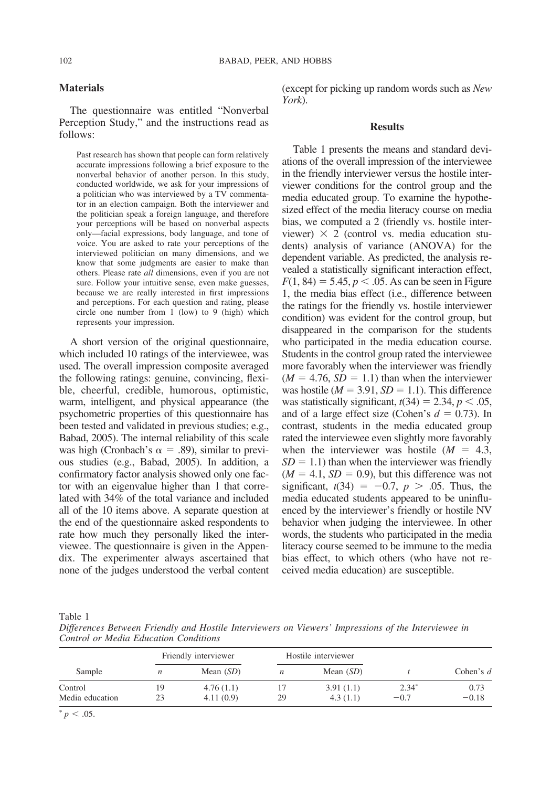#### **Materials**

The questionnaire was entitled "Nonverbal Perception Study," and the instructions read as follows:

Past research has shown that people can form relatively accurate impressions following a brief exposure to the nonverbal behavior of another person. In this study, conducted worldwide, we ask for your impressions of a politician who was interviewed by a TV commentator in an election campaign. Both the interviewer and the politician speak a foreign language, and therefore your perceptions will be based on nonverbal aspects only—facial expressions, body language, and tone of voice. You are asked to rate your perceptions of the interviewed politician on many dimensions, and we know that some judgments are easier to make than others. Please rate *all* dimensions, even if you are not sure. Follow your intuitive sense, even make guesses, because we are really interested in first impressions and perceptions. For each question and rating, please circle one number from 1 (low) to 9 (high) which represents your impression.

A short version of the original questionnaire, which included 10 ratings of the interviewee, was used. The overall impression composite averaged the following ratings: genuine, convincing, flexible, cheerful, credible, humorous, optimistic, warm, intelligent, and physical appearance (the psychometric properties of this questionnaire has been tested and validated in previous studies; e.g., Babad, 2005). The internal reliability of this scale was high (Cronbach's  $\alpha = .89$ ), similar to previous studies (e.g., Babad, 2005). In addition, a confirmatory factor analysis showed only one factor with an eigenvalue higher than 1 that correlated with 34% of the total variance and included all of the 10 items above. A separate question at the end of the questionnaire asked respondents to rate how much they personally liked the interviewee. The questionnaire is given in the Appendix. The experimenter always ascertained that none of the judges understood the verbal content (except for picking up random words such as *New York*).

### **Results**

Table 1 presents the means and standard deviations of the overall impression of the interviewee in the friendly interviewer versus the hostile interviewer conditions for the control group and the media educated group. To examine the hypothesized effect of the media literacy course on media bias, we computed a 2 (friendly vs. hostile interviewer)  $\times$  2 (control vs. media education students) analysis of variance (ANOVA) for the dependent variable. As predicted, the analysis revealed a statistically significant interaction effect,  $F(1, 84) = 5.45, p < .05$ . As can be seen in Figure 1, the media bias effect (i.e., difference between the ratings for the friendly vs. hostile interviewer condition) was evident for the control group, but disappeared in the comparison for the students who participated in the media education course. Students in the control group rated the interviewee more favorably when the interviewer was friendly  $(M = 4.76, SD = 1.1)$  than when the interviewer was hostile  $(M = 3.91, SD = 1.1)$ . This difference was statistically significant,  $t(34) = 2.34$ ,  $p < .05$ , and of a large effect size (Cohen's  $d = 0.73$ ). In contrast, students in the media educated group rated the interviewee even slightly more favorably when the interviewer was hostile  $(M = 4.3,$  $SD = 1.1$ ) than when the interviewer was friendly  $(M = 4.1, SD = 0.9)$ , but this difference was not significant,  $t(34) = -0.7$ ,  $p > .05$ . Thus, the media educated students appeared to be uninfluenced by the interviewer's friendly or hostile NV behavior when judging the interviewee. In other words, the students who participated in the media literacy course seemed to be immune to the media bias effect, to which others (who have not received media education) are susceptible.

Table 1

*Differences Between Friendly and Hostile Interviewers on Viewers' Impressions of the Interviewee in Control or Media Education Conditions*

| Sample          |    | Friendly interviewer |    | Hostile interviewer |         |             |
|-----------------|----|----------------------|----|---------------------|---------|-------------|
|                 | n  | Mean $(SD)$          | n  | Mean $(SD)$         |         | Cohen's $d$ |
| Control         | 19 | 4.76(1.1)            | 17 | 3.91(1.1)           | $2.34*$ | 0.73        |
| Media education | 23 | 4.11(0.9)            | 29 | 4.3(1.1)            | $-0.7$  | $-0.18$     |

 $p < .05$ .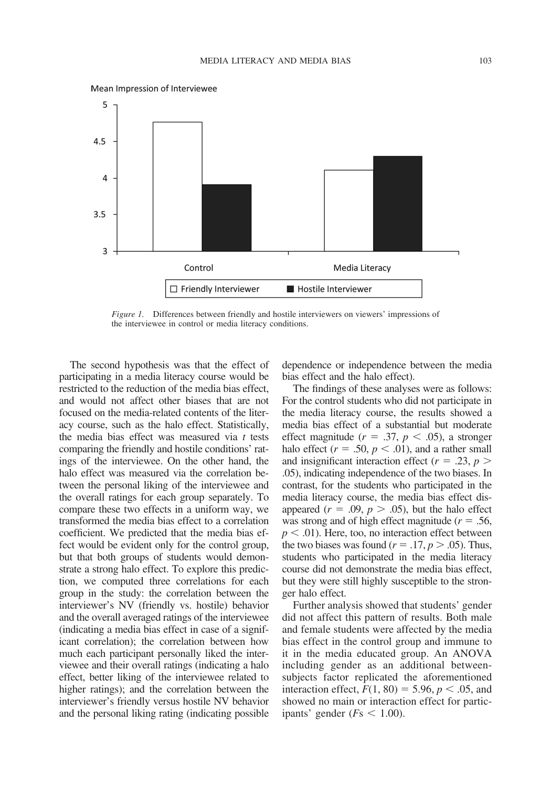

*Figure 1.* Differences between friendly and hostile interviewers on viewers' impressions of

the interviewee in control or media literacy conditions.

The second hypothesis was that the effect of participating in a media literacy course would be restricted to the reduction of the media bias effect, and would not affect other biases that are not focused on the media-related contents of the literacy course, such as the halo effect. Statistically, the media bias effect was measured via *t* tests comparing the friendly and hostile conditions' ratings of the interviewee. On the other hand, the halo effect was measured via the correlation between the personal liking of the interviewee and the overall ratings for each group separately. To compare these two effects in a uniform way, we transformed the media bias effect to a correlation coefficient. We predicted that the media bias effect would be evident only for the control group, but that both groups of students would demonstrate a strong halo effect. To explore this prediction, we computed three correlations for each group in the study: the correlation between the interviewer's NV (friendly vs. hostile) behavior and the overall averaged ratings of the interviewee (indicating a media bias effect in case of a significant correlation); the correlation between how much each participant personally liked the interviewee and their overall ratings (indicating a halo effect, better liking of the interviewee related to higher ratings); and the correlation between the interviewer's friendly versus hostile NV behavior and the personal liking rating (indicating possible

Mean Impression of Interviewee

dependence or independence between the media bias effect and the halo effect).

The findings of these analyses were as follows: For the control students who did not participate in the media literacy course, the results showed a media bias effect of a substantial but moderate effect magnitude  $(r = .37, p < .05)$ , a stronger halo effect  $(r = .50, p < .01)$ , and a rather small and insignificant interaction effect ( $r = .23$ ,  $p >$ .05), indicating independence of the two biases. In contrast, for the students who participated in the media literacy course, the media bias effect disappeared  $(r = .09, p > .05)$ , but the halo effect was strong and of high effect magnitude  $(r = .56, )$  $p < .01$ ). Here, too, no interaction effect between the two biases was found ( $r = .17$ ,  $p > .05$ ). Thus, students who participated in the media literacy course did not demonstrate the media bias effect, but they were still highly susceptible to the stronger halo effect.

Further analysis showed that students' gender did not affect this pattern of results. Both male and female students were affected by the media bias effect in the control group and immune to it in the media educated group. An ANOVA including gender as an additional betweensubjects factor replicated the aforementioned interaction effect,  $F(1, 80) = 5.96$ ,  $p < .05$ , and showed no main or interaction effect for participants' gender  $(Fs \leq 1.00)$ .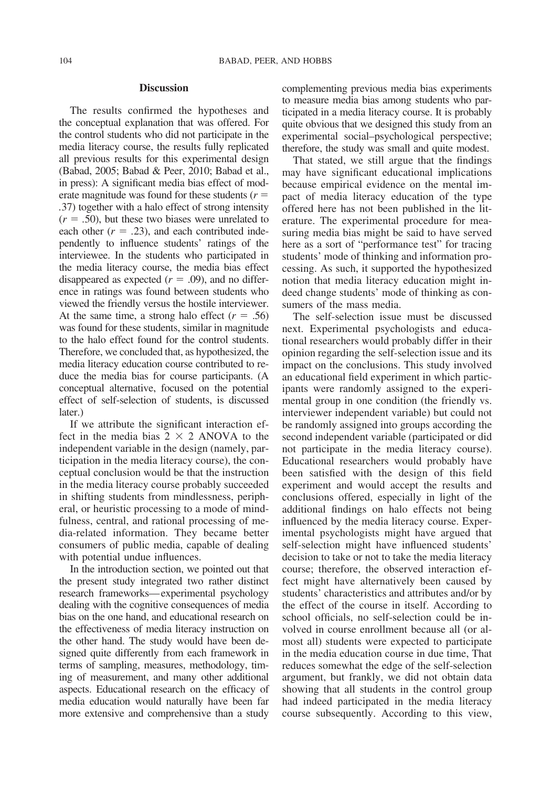### **Discussion**

The results confirmed the hypotheses and the conceptual explanation that was offered. For the control students who did not participate in the media literacy course, the results fully replicated all previous results for this experimental design (Babad, 2005; Babad & Peer, 2010; Babad et al., in press): A significant media bias effect of moderate magnitude was found for these students (*r .*37) together with a halo effect of strong intensity  $(r = .50)$ , but these two biases were unrelated to each other  $(r = .23)$ , and each contributed independently to influence students' ratings of the interviewee. In the students who participated in the media literacy course, the media bias effect disappeared as expected  $(r = .09)$ , and no difference in ratings was found between students who viewed the friendly versus the hostile interviewer. At the same time, a strong halo effect  $(r = .56)$ was found for these students, similar in magnitude to the halo effect found for the control students. Therefore, we concluded that, as hypothesized, the media literacy education course contributed to reduce the media bias for course participants. (A conceptual alternative, focused on the potential effect of self-selection of students, is discussed later.)

If we attribute the significant interaction effect in the media bias  $2 \times 2$  ANOVA to the independent variable in the design (namely, participation in the media literacy course), the conceptual conclusion would be that the instruction in the media literacy course probably succeeded in shifting students from mindlessness, peripheral, or heuristic processing to a mode of mindfulness, central, and rational processing of media-related information. They became better consumers of public media, capable of dealing with potential undue influences.

In the introduction section, we pointed out that the present study integrated two rather distinct research frameworks—experimental psychology dealing with the cognitive consequences of media bias on the one hand, and educational research on the effectiveness of media literacy instruction on the other hand. The study would have been designed quite differently from each framework in terms of sampling, measures, methodology, timing of measurement, and many other additional aspects. Educational research on the efficacy of media education would naturally have been far more extensive and comprehensive than a study

complementing previous media bias experiments to measure media bias among students who participated in a media literacy course. It is probably quite obvious that we designed this study from an experimental social–psychological perspective; therefore, the study was small and quite modest.

That stated, we still argue that the findings may have significant educational implications because empirical evidence on the mental impact of media literacy education of the type offered here has not been published in the literature. The experimental procedure for measuring media bias might be said to have served here as a sort of "performance test" for tracing students' mode of thinking and information processing. As such, it supported the hypothesized notion that media literacy education might indeed change students' mode of thinking as consumers of the mass media.

The self-selection issue must be discussed next. Experimental psychologists and educational researchers would probably differ in their opinion regarding the self-selection issue and its impact on the conclusions. This study involved an educational field experiment in which participants were randomly assigned to the experimental group in one condition (the friendly vs. interviewer independent variable) but could not be randomly assigned into groups according the second independent variable (participated or did not participate in the media literacy course). Educational researchers would probably have been satisfied with the design of this field experiment and would accept the results and conclusions offered, especially in light of the additional findings on halo effects not being influenced by the media literacy course. Experimental psychologists might have argued that self-selection might have influenced students' decision to take or not to take the media literacy course; therefore, the observed interaction effect might have alternatively been caused by students' characteristics and attributes and/or by the effect of the course in itself. According to school officials, no self-selection could be involved in course enrollment because all (or almost all) students were expected to participate in the media education course in due time, That reduces somewhat the edge of the self-selection argument, but frankly, we did not obtain data showing that all students in the control group had indeed participated in the media literacy course subsequently. According to this view,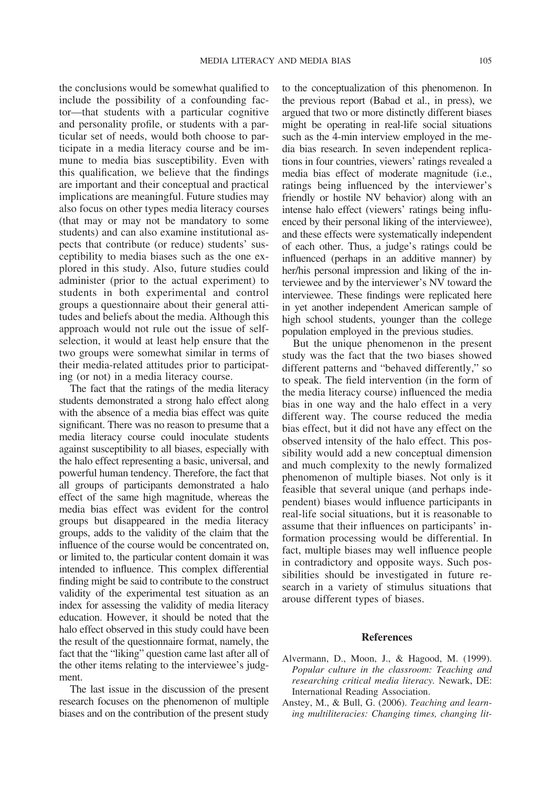the conclusions would be somewhat qualified to include the possibility of a confounding factor—that students with a particular cognitive and personality profile, or students with a particular set of needs, would both choose to participate in a media literacy course and be immune to media bias susceptibility. Even with this qualification, we believe that the findings are important and their conceptual and practical implications are meaningful. Future studies may also focus on other types media literacy courses (that may or may not be mandatory to some students) and can also examine institutional aspects that contribute (or reduce) students' susceptibility to media biases such as the one explored in this study. Also, future studies could administer (prior to the actual experiment) to students in both experimental and control groups a questionnaire about their general attitudes and beliefs about the media. Although this approach would not rule out the issue of selfselection, it would at least help ensure that the two groups were somewhat similar in terms of their media-related attitudes prior to participating (or not) in a media literacy course.

The fact that the ratings of the media literacy students demonstrated a strong halo effect along with the absence of a media bias effect was quite significant. There was no reason to presume that a media literacy course could inoculate students against susceptibility to all biases, especially with the halo effect representing a basic, universal, and powerful human tendency. Therefore, the fact that all groups of participants demonstrated a halo effect of the same high magnitude, whereas the media bias effect was evident for the control groups but disappeared in the media literacy groups, adds to the validity of the claim that the influence of the course would be concentrated on, or limited to, the particular content domain it was intended to influence. This complex differential finding might be said to contribute to the construct validity of the experimental test situation as an index for assessing the validity of media literacy education. However, it should be noted that the halo effect observed in this study could have been the result of the questionnaire format, namely, the fact that the "liking" question came last after all of the other items relating to the interviewee's judgment.

The last issue in the discussion of the present research focuses on the phenomenon of multiple biases and on the contribution of the present study to the conceptualization of this phenomenon. In the previous report (Babad et al., in press), we argued that two or more distinctly different biases might be operating in real-life social situations such as the 4-min interview employed in the media bias research. In seven independent replications in four countries, viewers' ratings revealed a media bias effect of moderate magnitude (i.e., ratings being influenced by the interviewer's friendly or hostile NV behavior) along with an intense halo effect (viewers' ratings being influenced by their personal liking of the interviewee), and these effects were systematically independent of each other. Thus, a judge's ratings could be influenced (perhaps in an additive manner) by her/his personal impression and liking of the interviewee and by the interviewer's NV toward the interviewee. These findings were replicated here in yet another independent American sample of high school students, younger than the college population employed in the previous studies.

But the unique phenomenon in the present study was the fact that the two biases showed different patterns and "behaved differently," so to speak. The field intervention (in the form of the media literacy course) influenced the media bias in one way and the halo effect in a very different way. The course reduced the media bias effect, but it did not have any effect on the observed intensity of the halo effect. This possibility would add a new conceptual dimension and much complexity to the newly formalized phenomenon of multiple biases. Not only is it feasible that several unique (and perhaps independent) biases would influence participants in real-life social situations, but it is reasonable to assume that their influences on participants' information processing would be differential. In fact, multiple biases may well influence people in contradictory and opposite ways. Such possibilities should be investigated in future research in a variety of stimulus situations that arouse different types of biases.

## **References**

- Alvermann, D., Moon, J., & Hagood, M. (1999). *Popular culture in the classroom: Teaching and researching critical media literacy.* Newark, DE: International Reading Association.
- Anstey, M., & Bull, G. (2006). *Teaching and learning multiliteracies: Changing times, changing lit-*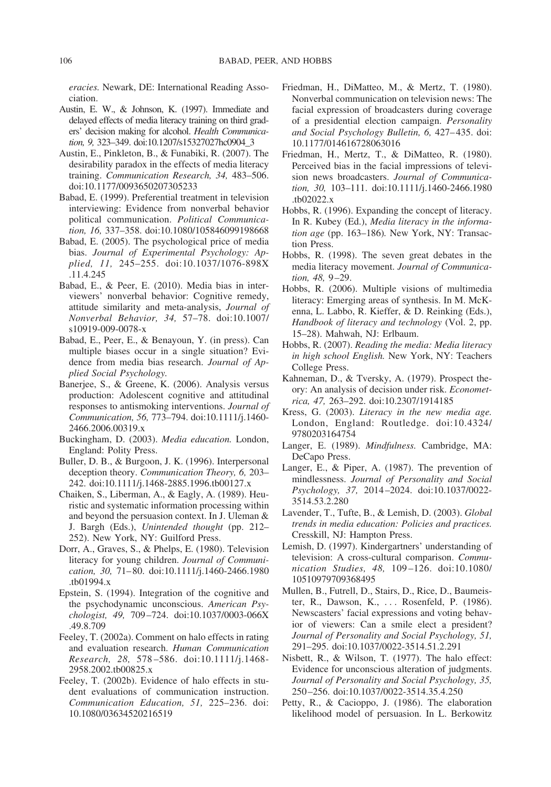*eracies.* Newark, DE: International Reading Association.

- Austin, E. W., & Johnson, K. (1997). Immediate and delayed effects of media literacy training on third graders' decision making for alcohol. *Health Communication, 9,* 323–349. doi:10.1207/s15327027hc0904\_3
- Austin, E., Pinkleton, B., & Funabiki, R. (2007). The desirability paradox in the effects of media literacy training. *Communication Research, 34,* 483–506. doi:10.1177/0093650207305233
- Babad, E. (1999). Preferential treatment in television interviewing: Evidence from nonverbal behavior political communication. *Political Communication, 16,* 337–358. doi:10.1080/105846099198668
- Babad, E. (2005). The psychological price of media bias. *Journal of Experimental Psychology: Applied, 11,* 245–255. doi:10.1037/1076-898X .11.4.245
- Babad, E., & Peer, E. (2010). Media bias in interviewers' nonverbal behavior: Cognitive remedy, attitude similarity and meta-analysis, *Journal of Nonverbal Behavior, 34,* 57–78. doi:10.1007/ s10919-009-0078-x
- Babad, E., Peer, E., & Benayoun, Y. (in press). Can multiple biases occur in a single situation? Evidence from media bias research. *Journal of Applied Social Psychology.*
- Banerjee, S., & Greene, K. (2006). Analysis versus production: Adolescent cognitive and attitudinal responses to antismoking interventions. *Journal of Communication, 56,* 773–794. doi:10.1111/j.1460- 2466.2006.00319.x
- Buckingham, D. (2003). *Media education.* London, England: Polity Press.
- Buller, D. B., & Burgoon, J. K. (1996). Interpersonal deception theory. *Communication Theory, 6,* 203– 242. doi:10.1111/j.1468-2885.1996.tb00127.x
- Chaiken, S., Liberman, A., & Eagly, A. (1989). Heuristic and systematic information processing within and beyond the persuasion context. In J. Uleman & J. Bargh (Eds.), *Unintended thought* (pp. 212– 252). New York, NY: Guilford Press.
- Dorr, A., Graves, S., & Phelps, E. (1980). Television literacy for young children. *Journal of Communication, 30,* 71–80. doi:10.1111/j.1460-2466.1980 .tb01994.x
- Epstein, S. (1994). Integration of the cognitive and the psychodynamic unconscious. *American Psychologist, 49,* 709–724. doi:10.1037/0003-066X .49.8.709
- Feeley, T. (2002a). Comment on halo effects in rating and evaluation research. *Human Communication Research, 28,* 578–586. doi:10.1111/j.1468- 2958.2002.tb00825.x
- Feeley, T. (2002b). Evidence of halo effects in student evaluations of communication instruction. *Communication Education, 51,* 225–236. doi: 10.1080/03634520216519
- Friedman, H., DiMatteo, M., & Mertz, T. (1980). Nonverbal communication on television news: The facial expression of broadcasters during coverage of a presidential election campaign. *Personality and Social Psychology Bulletin, 6,* 427–435. doi: 10.1177/014616728063016
- Friedman, H., Mertz, T., & DiMatteo, R. (1980). Perceived bias in the facial impressions of television news broadcasters. *Journal of Communication, 30,* 103–111. doi:10.1111/j.1460-2466.1980 .tb02022.x
- Hobbs, R. (1996). Expanding the concept of literacy. In R. Kubey (Ed.), *Media literacy in the information age* (pp. 163–186)*.* New York, NY: Transaction Press.
- Hobbs, R. (1998). The seven great debates in the media literacy movement. *Journal of Communication, 48,* 9–29.
- Hobbs, R. (2006). Multiple visions of multimedia literacy: Emerging areas of synthesis. In M. McKenna, L. Labbo, R. Kieffer, & D. Reinking (Eds.), *Handbook of literacy and technology* (Vol. 2, pp. 15–28). Mahwah, NJ: Erlbaum.
- Hobbs, R. (2007). *Reading the media: Media literacy in high school English.* New York, NY: Teachers College Press.
- Kahneman, D., & Tversky, A. (1979). Prospect theory: An analysis of decision under risk. *Econometrica, 47,* 263–292. doi:10.2307/1914185
- Kress, G. (2003). *Literacy in the new media age.* London, England: Routledge. doi:10.4324/ 9780203164754
- Langer, E. (1989). *Mindfulness.* Cambridge, MA: DeCapo Press.
- Langer, E., & Piper, A. (1987). The prevention of mindlessness. *Journal of Personality and Social Psychology, 37,* 2014–2024. doi:10.1037/0022- 3514.53.2.280
- Lavender, T., Tufte, B., & Lemish, D. (2003). *Global trends in media education: Policies and practices.* Cresskill, NJ: Hampton Press.
- Lemish, D. (1997). Kindergartners' understanding of television: A cross-cultural comparison. *Communication Studies, 48,* 109–126. doi:10.1080/ 10510979709368495
- Mullen, B., Futrell, D., Stairs, D., Rice, D., Baumeister, R., Dawson, K., . . . Rosenfeld, P. (1986). Newscasters' facial expressions and voting behavior of viewers: Can a smile elect a president? *Journal of Personality and Social Psychology, 51,* 291–295. doi:10.1037/0022-3514.51.2.291
- Nisbett, R., & Wilson, T. (1977). The halo effect: Evidence for unconscious alteration of judgments. *Journal of Personality and Social Psychology, 35,* 250–256. doi:10.1037/0022-3514.35.4.250
- Petty, R., & Cacioppo, J. (1986). The elaboration likelihood model of persuasion. In L. Berkowitz